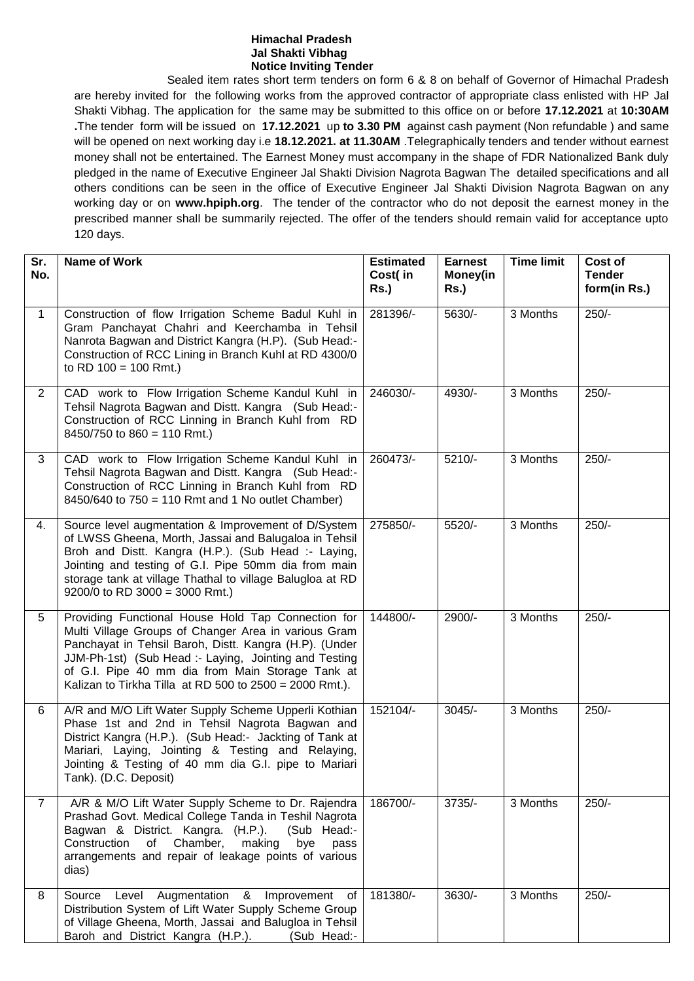#### **Himachal Pradesh Jal Shakti Vibhag Notice Inviting Tender**

Sealed item rates short term tenders on form 6 & 8 on behalf of Governor of Himachal Pradesh are hereby invited for the following works from the approved contractor of appropriate class enlisted with HP Jal Shakti Vibhag. The application for the same may be submitted to this office on or before **17.12.2021** at **10:30AM .**The tender form will be issued on **17.12.2021** up **to 3.30 PM** against cash payment (Non refundable ) and same will be opened on next working day i.e **18.12.2021. at 11.30AM** .Telegraphically tenders and tender without earnest money shall not be entertained. The Earnest Money must accompany in the shape of FDR Nationalized Bank duly pledged in the name of Executive Engineer Jal Shakti Division Nagrota Bagwan The detailed specifications and all others conditions can be seen in the office of Executive Engineer Jal Shakti Division Nagrota Bagwan on any working day or on **www.hpiph.org**. The tender of the contractor who do not deposit the earnest money in the prescribed manner shall be summarily rejected. The offer of the tenders should remain valid for acceptance upto 120 days.

| Sr.<br>No.     | <b>Name of Work</b>                                                                                                                                                                                                                                                                                                                            | <b>Estimated</b><br>Cost(in<br>Rs.) | <b>Earnest</b><br>Money(in<br><b>Rs.)</b> | <b>Time limit</b> | Cost of<br><b>Tender</b><br>form(in Rs.) |
|----------------|------------------------------------------------------------------------------------------------------------------------------------------------------------------------------------------------------------------------------------------------------------------------------------------------------------------------------------------------|-------------------------------------|-------------------------------------------|-------------------|------------------------------------------|
| $\mathbf{1}$   | Construction of flow Irrigation Scheme Badul Kuhl in<br>Gram Panchayat Chahri and Keerchamba in Tehsil<br>Nanrota Bagwan and District Kangra (H.P). (Sub Head:-<br>Construction of RCC Lining in Branch Kuhl at RD 4300/0<br>to RD $100 = 100$ Rmt.)                                                                                           | 281396/-                            | 5630/-                                    | 3 Months          | $250/-$                                  |
| $\overline{2}$ | CAD work to Flow Irrigation Scheme Kandul Kuhl in<br>Tehsil Nagrota Bagwan and Distt. Kangra (Sub Head:-<br>Construction of RCC Linning in Branch Kuhl from RD<br>8450/750 to $860 = 110$ Rmt.)                                                                                                                                                | 246030/-                            | 4930/-                                    | 3 Months          | $250/-$                                  |
| 3              | CAD work to Flow Irrigation Scheme Kandul Kuhl in<br>Tehsil Nagrota Bagwan and Distt. Kangra (Sub Head:-<br>Construction of RCC Linning in Branch Kuhl from RD<br>8450/640 to 750 = 110 Rmt and 1 No outlet Chamber)                                                                                                                           | 260473/-                            | $5210/-$                                  | 3 Months          | $250/-$                                  |
| 4.             | Source level augmentation & Improvement of D/System<br>of LWSS Gheena, Morth, Jassai and Balugaloa in Tehsil<br>Broh and Distt. Kangra (H.P.). (Sub Head :- Laying,<br>Jointing and testing of G.I. Pipe 50mm dia from main<br>storage tank at village Thathal to village Balugloa at RD<br>$9200/0$ to RD 3000 = 3000 Rmt.)                   | 275850/-                            | 5520/-                                    | 3 Months          | $250/-$                                  |
| 5              | Providing Functional House Hold Tap Connection for<br>Multi Village Groups of Changer Area in various Gram<br>Panchayat in Tehsil Baroh, Distt. Kangra (H.P). (Under<br>JJM-Ph-1st) (Sub Head :- Laying, Jointing and Testing<br>of G.I. Pipe 40 mm dia from Main Storage Tank at<br>Kalizan to Tirkha Tilla at RD 500 to $2500 = 2000$ Rmt.). | 144800/-                            | 2900/-                                    | 3 Months          | $250/-$                                  |
| 6              | A/R and M/O Lift Water Supply Scheme Upperli Kothian<br>Phase 1st and 2nd in Tehsil Nagrota Bagwan and<br>District Kangra (H.P.). (Sub Head:- Jackting of Tank at<br>Mariari, Laying, Jointing & Testing and Relaying,<br>Jointing & Testing of 40 mm dia G.I. pipe to Mariari<br>Tank). (D.C. Deposit)                                        | 152104/-                            | $3045/-$                                  | 3 Months          | $250/-$                                  |
| $\overline{7}$ | A/R & M/O Lift Water Supply Scheme to Dr. Rajendra<br>Prashad Govt. Medical College Tanda in Teshil Nagrota<br>Bagwan & District. Kangra. (H.P.).<br>(Sub Head:-<br>Construction<br>of Chamber,<br>making<br>bye<br>pass<br>arrangements and repair of leakage points of various<br>dias)                                                      | 186700/-                            | $3735/-$                                  | 3 Months          | $250/-$                                  |
| 8              | Augmentation<br>&<br>Source<br>Level<br>Improvement<br>0f<br>Distribution System of Lift Water Supply Scheme Group<br>of Village Gheena, Morth, Jassai and Balugloa in Tehsil<br>Baroh and District Kangra (H.P.).<br>(Sub Head:-                                                                                                              | 181380/-                            | 3630/-                                    | 3 Months          | $250/-$                                  |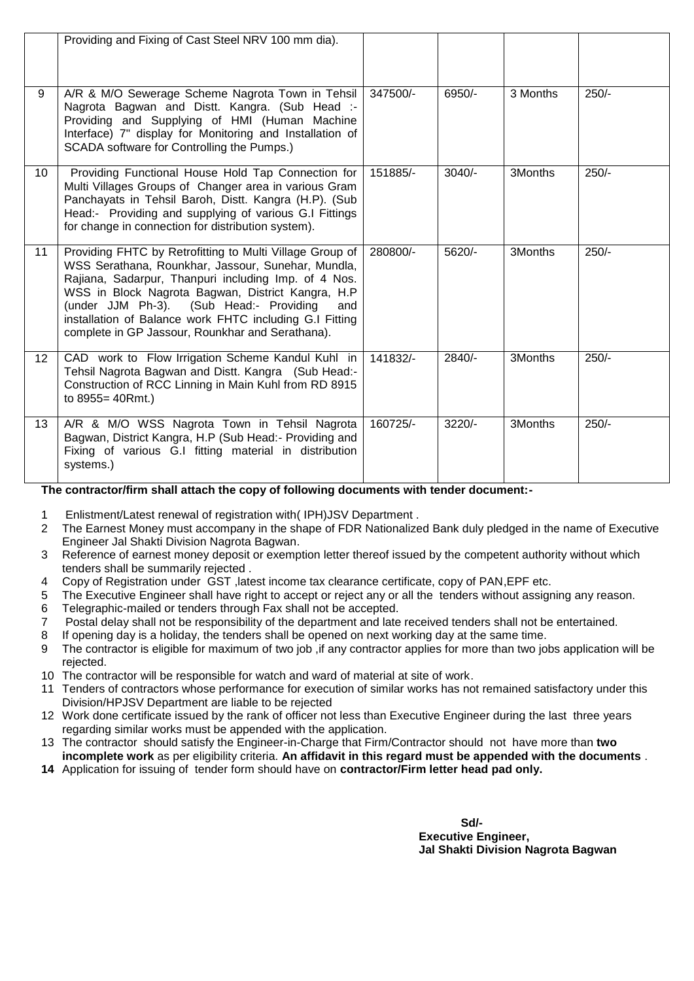|                 | Providing and Fixing of Cast Steel NRV 100 mm dia).                                                                                                                                                                                                                                                                                                                                          |          |          |          |         |
|-----------------|----------------------------------------------------------------------------------------------------------------------------------------------------------------------------------------------------------------------------------------------------------------------------------------------------------------------------------------------------------------------------------------------|----------|----------|----------|---------|
| 9               | A/R & M/O Sewerage Scheme Nagrota Town in Tehsil<br>Nagrota Bagwan and Distt. Kangra. (Sub Head :-<br>Providing and Supplying of HMI (Human Machine<br>Interface) 7" display for Monitoring and Installation of<br>SCADA software for Controlling the Pumps.)                                                                                                                                | 347500/- | 6950/-   | 3 Months | $250/-$ |
| 10              | Providing Functional House Hold Tap Connection for<br>Multi Villages Groups of Changer area in various Gram<br>Panchayats in Tehsil Baroh, Distt. Kangra (H.P). (Sub<br>Head:- Providing and supplying of various G.I Fittings<br>for change in connection for distribution system).                                                                                                         | 151885/- | $3040/-$ | 3Months  | $250/-$ |
| 11              | Providing FHTC by Retrofitting to Multi Village Group of<br>WSS Serathana, Rounkhar, Jassour, Sunehar, Mundla,<br>Rajiana, Sadarpur, Thanpuri including Imp. of 4 Nos.<br>WSS in Block Nagrota Bagwan, District Kangra, H.P<br>(under JJM Ph-3). (Sub Head:- Providing<br>and<br>installation of Balance work FHTC including G.I Fitting<br>complete in GP Jassour, Rounkhar and Serathana). | 280800/- | 5620/-   | 3Months  | $250/-$ |
| 12 <sup>2</sup> | CAD work to Flow Irrigation Scheme Kandul Kuhl in<br>Tehsil Nagrota Bagwan and Distt. Kangra (Sub Head:-<br>Construction of RCC Linning in Main Kuhl from RD 8915<br>to 8955=40Rmt.)                                                                                                                                                                                                         | 141832/- | $2840/-$ | 3Months  | $250/-$ |
| 13              | A/R & M/O WSS Nagrota Town in Tehsil Nagrota<br>Bagwan, District Kangra, H.P (Sub Head:- Providing and<br>Fixing of various G.I fitting material in distribution<br>systems.)                                                                                                                                                                                                                | 160725/- | $3220/-$ | 3Months  | $250/-$ |

# **The contractor/firm shall attach the copy of following documents with tender document:-**

- 1 Enlistment/Latest renewal of registration with( IPH)JSV Department .
- 2 The Earnest Money must accompany in the shape of FDR Nationalized Bank duly pledged in the name of Executive Engineer Jal Shakti Division Nagrota Bagwan.
- 3 Reference of earnest money deposit or exemption letter thereof issued by the competent authority without which tenders shall be summarily rejected .
- 4 Copy of Registration under GST ,latest income tax clearance certificate, copy of PAN,EPF etc.
- 5 The Executive Engineer shall have right to accept or reject any or all the tenders without assigning any reason.
- 6 Telegraphic-mailed or tenders through Fax shall not be accepted.
- 7 Postal delay shall not be responsibility of the department and late received tenders shall not be entertained.
- 8 If opening day is a holiday, the tenders shall be opened on next working day at the same time.
- 9 The contractor is eligible for maximum of two job ,if any contractor applies for more than two jobs application will be rejected.
- 10 The contractor will be responsible for watch and ward of material at site of work.
- 11 Tenders of contractors whose performance for execution of similar works has not remained satisfactory under this Division/HPJSV Department are liable to be rejected
- 12 Work done certificate issued by the rank of officer not less than Executive Engineer during the last three years regarding similar works must be appended with the application.
- 13 The contractor should satisfy the Engineer-in-Charge that Firm/Contractor should not have more than **two incomplete work** as per eligibility criteria. **An affidavit in this regard must be appended with the documents** .
- **14** Application for issuing of tender form should have on **contractor/Firm letter head pad only.**

**Sd/- Executive Engineer, Jal Shakti Division Nagrota Bagwan**